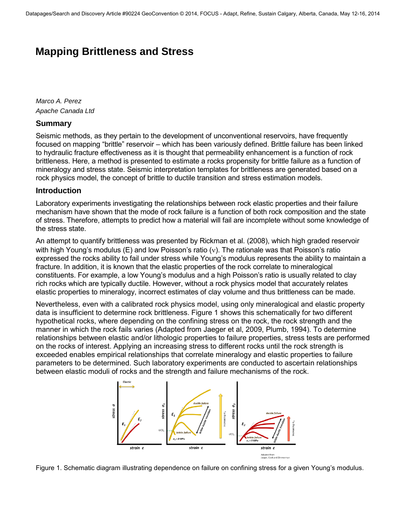# **Mapping Brittleness and Stress**

*Marco A. Perez Apache Canada Ltd* 

### **Summary**

Seismic methods, as they pertain to the development of unconventional reservoirs, have frequently focused on mapping "brittle" reservoir – which has been variously defined. Brittle failure has been linked to hydraulic fracture effectiveness as it is thought that permeability enhancement is a function of rock brittleness. Here, a method is presented to estimate a rocks propensity for brittle failure as a function of mineralogy and stress state. Seismic interpretation templates for brittleness are generated based on a rock physics model, the concept of brittle to ductile transition and stress estimation models.

## **Introduction**

Laboratory experiments investigating the relationships between rock elastic properties and their failure mechanism have shown that the mode of rock failure is a function of both rock composition and the state of stress. Therefore, attempts to predict how a material will fail are incomplete without some knowledge of the stress state.

An attempt to quantify brittleness was presented by Rickman et al. (2008), which high graded reservoir with high Young's modulus (E) and low Poisson's ratio  $(v)$ . The rationale was that Poisson's ratio expressed the rocks ability to fail under stress while Young's modulus represents the ability to maintain a fracture. In addition, it is known that the elastic properties of the rock correlate to mineralogical constituents. For example, a low Young's modulus and a high Poisson's ratio is usually related to clay rich rocks which are typically ductile. However, without a rock physics model that accurately relates elastic properties to mineralogy, incorrect estimates of clay volume and thus brittleness can be made.

Nevertheless, even with a calibrated rock physics model, using only mineralogical and elastic property data is insufficient to determine rock brittleness. Figure 1 shows this schematically for two different hypothetical rocks, where depending on the confining stress on the rock, the rock strength and the manner in which the rock fails varies (Adapted from Jaeger et al, 2009, Plumb, 1994). To determine relationships between elastic and/or lithologic properties to failure properties, stress tests are performed on the rocks of interest. Applying an increasing stress to different rocks until the rock strength is exceeded enables empirical relationships that correlate mineralogy and elastic properties to failure parameters to be determined. Such laboratory experiments are conducted to ascertain relationships between elastic moduli of rocks and the strength and failure mechanisms of the rock.



Figure 1. Schematic diagram illustrating dependence on failure on confining stress for a given Young's modulus.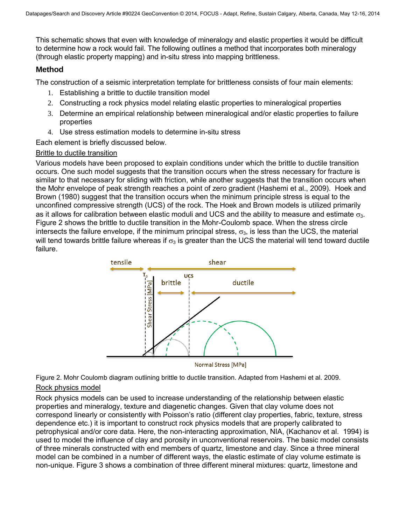This schematic shows that even with knowledge of mineralogy and elastic properties it would be difficult to determine how a rock would fail. The following outlines a method that incorporates both mineralogy (through elastic property mapping) and in-situ stress into mapping brittleness.

## **Method**

The construction of a seismic interpretation template for brittleness consists of four main elements:

- 1. Establishing a brittle to ductile transition model
- 2. Constructing a rock physics model relating elastic properties to mineralogical properties
- 3. Determine an empirical relationship between mineralogical and/or elastic properties to failure properties
- 4. Use stress estimation models to determine in-situ stress

Each element is briefly discussed below.

#### Brittle to ductile transition

Various models have been proposed to explain conditions under which the brittle to ductile transition occurs. One such model suggests that the transition occurs when the stress necessary for fracture is similar to that necessary for sliding with friction, while another suggests that the transition occurs when the Mohr envelope of peak strength reaches a point of zero gradient (Hashemi et al., 2009). Hoek and Brown (1980) suggest that the transition occurs when the minimum principle stress is equal to the unconfined compressive strength (UCS) of the rock. The Hoek and Brown models is utilized primarily as it allows for calibration between elastic moduli and UCS and the ability to measure and estimate  $\sigma_3$ . Figure 2 shows the brittle to ductile transition in the Mohr-Coulomb space. When the stress circle intersects the failure envelope, if the minimum principal stress,  $\sigma_3$ , is less than the UCS, the material will tend towards brittle failure whereas if  $\sigma_3$  is greater than the UCS the material will tend toward ductile failure.



Normal Stress [MPa]

Figure 2. Mohr Coulomb diagram outlining brittle to ductile transition. Adapted from Hashemi et al. 2009.

#### Rock physics model

Rock physics models can be used to increase understanding of the relationship between elastic properties and mineralogy, texture and diagenetic changes. Given that clay volume does not correspond linearly or consistently with Poisson's ratio (different clay properties, fabric, texture, stress dependence etc.) it is important to construct rock physics models that are properly calibrated to petrophysical and/or core data. Here, the non-interacting approximation, NIA, (Kachanov et al. 1994) is used to model the influence of clay and porosity in unconventional reservoirs. The basic model consists of three minerals constructed with end members of quartz, limestone and clay. Since a three mineral model can be combined in a number of different ways, the elastic estimate of clay volume estimate is non-unique. Figure 3 shows a combination of three different mineral mixtures: quartz, limestone and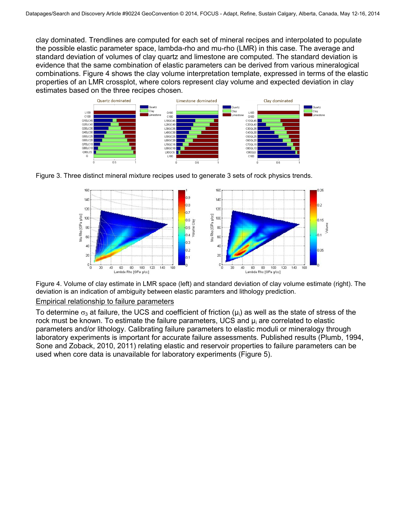clay dominated. Trendlines are computed for each set of mineral recipes and interpolated to populate the possible elastic parameter space, lambda-rho and mu-rho (LMR) in this case. The average and standard deviation of volumes of clay quartz and limestone are computed. The standard deviation is evidence that the same combination of elastic parameters can be derived from various mineralogical combinations. Figure 4 shows the clay volume interpretation template, expressed in terms of the elastic properties of an LMR crossplot, where colors represent clay volume and expected deviation in clay estimates based on the three recipes chosen.







Figure 4. Volume of clay estimate in LMR space (left) and standard deviation of clay volume estimate (right). The deviation is an indication of ambiguity between elastic paramters and lithology prediction.

#### Empirical relationship to failure parameters

To determine  $\sigma_3$  at failure, the UCS and coefficient of friction ( $\mu_i$ ) as well as the state of stress of the rock must be known. To estimate the failure parameters, UCS and  $\mu_i$  are correlated to elastic parameters and/or lithology. Calibrating failure parameters to elastic moduli or mineralogy through laboratory experiments is important for accurate failure assessments. Published results (Plumb, 1994, Sone and Zoback, 2010, 2011) relating elastic and reservoir properties to failure parameters can be used when core data is unavailable for laboratory experiments (Figure 5).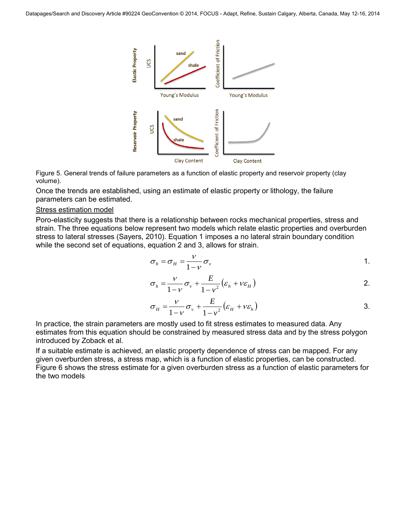

Figure 5. General trends of failure parameters as a function of elastic property and reservoir property (clay volume).

Once the trends are established, using an estimate of elastic property or lithology, the failure parameters can be estimated.

#### Stress estimation model

Poro-elasticity suggests that there is a relationship between rocks mechanical properties, stress and strain. The three equations below represent two models which relate elastic properties and overburden stress to lateral stresses (Sayers, 2010). Equation 1 imposes a no lateral strain boundary condition while the second set of equations, equation 2 and 3, allows for strain.

$$
\sigma_h = \sigma_H = \frac{V}{1 - V} \sigma_v
$$

$$
1 - \nu
$$
  
\n
$$
\sigma_h = \frac{\nu}{1 - \nu} \sigma_v + \frac{E}{1 - v^2} (\varepsilon_h + v \varepsilon_H)
$$

$$
\sigma_H = \frac{V}{1 - V} \sigma_v + \frac{E}{1 - v^2} \left( \varepsilon_H + v \varepsilon_h \right)
$$
3.

In practice, the strain parameters are mostly used to fit stress estimates to measured data. Any estimates from this equation should be constrained by measured stress data and by the stress polygon introduced by Zoback et al.

If a suitable estimate is achieved, an elastic property dependence of stress can be mapped. For any given overburden stress, a stress map, which is a function of elastic properties, can be constructed. Figure 6 shows the stress estimate for a given overburden stress as a function of elastic parameters for the two models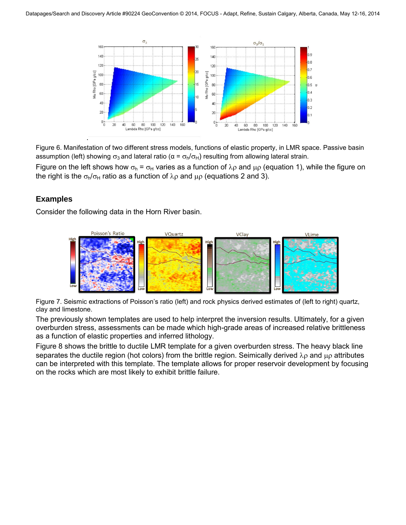

Figure 6. Manifestation of two different stress models, functions of elastic property, in LMR space. Passive basin assumption (left) showing  $\sigma_3$  and lateral ratio (α =  $\sigma_h/\sigma_H$ ) resulting from allowing lateral strain.

Figure on the left shows how  $\sigma_h = \sigma_H$  varies as a function of  $\lambda \rho$  and  $\mu \rho$  (equation 1), while the figure on the right is the  $\sigma_h/\sigma_H$  ratio as a function of  $\lambda \rho$  and  $\mu \rho$  (equations 2 and 3).

# **Examples**

Consider the following data in the Horn River basin.



Figure 7. Seismic extractions of Poisson's ratio (left) and rock physics derived estimates of (left to right) quartz, clay and limestone.

The previously shown templates are used to help interpret the inversion results. Ultimately, for a given overburden stress, assessments can be made which high-grade areas of increased relative brittleness as a function of elastic properties and inferred lithology.

Figure 8 shows the brittle to ductile LMR template for a given overburden stress. The heavy black line separates the ductile region (hot colors) from the brittle region. Seimically derived  $\lambda_{\rm P}$  and  $\mu_{\rm P}$  attributes can be interpreted with this template. The template allows for proper reservoir development by focusing on the rocks which are most likely to exhibit brittle failure.